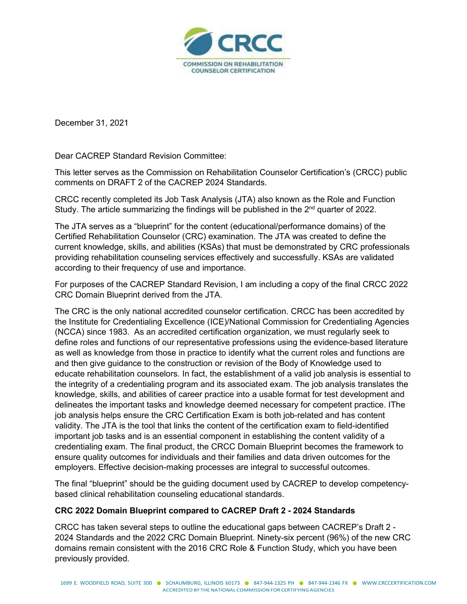

December 31, 2021

Dear CACREP Standard Revision Committee:

This letter serves as the Commission on Rehabilitation Counselor Certification's (CRCC) public comments on DRAFT 2 of the CACREP 2024 Standards.

CRCC recently completed its Job Task Analysis (JTA) also known as the Role and Function Study. The article summarizing the findings will be published in the 2<sup>nd</sup> quarter of 2022.

The JTA serves as a "blueprint" for the content (educational/performance domains) of the Certified Rehabilitation Counselor (CRC) examination. The JTA was created to define the current knowledge, skills, and abilities (KSAs) that must be demonstrated by CRC professionals providing rehabilitation counseling services effectively and successfully. KSAs are validated according to their frequency of use and importance.

For purposes of the CACREP Standard Revision, I am including a copy of the final CRCC 2022 CRC Domain Blueprint derived from the JTA.

The CRC is the only national accredited counselor certification. CRCC has been accredited by the Institute for Credentialing Excellence (ICE)/National Commission for Credentialing Agencies (NCCA) since 1983. As an accredited certification organization, we must regularly seek to define roles and functions of our representative professions using the evidence-based literature as well as knowledge from those in practice to identify what the current roles and functions are and then give guidance to the construction or revision of the Body of Knowledge used to educate rehabilitation counselors. In fact, the establishment of a valid job analysis is essential to the integrity of a credentialing program and its associated exam. The job analysis translates the knowledge, skills, and abilities of career practice into a usable format for test development and delineates the important tasks and knowledge deemed necessary for competent practice. IThe job analysis helps ensure the CRC Certification Exam is both job-related and has content validity. The JTA is the tool that links the content of the certification exam to field-identified important job tasks and is an essential component in establishing the content validity of a credentialing exam. The final product, the CRCC Domain Blueprint becomes the framework to ensure quality outcomes for individuals and their families and data driven outcomes for the employers. Effective decision-making processes are integral to successful outcomes.

The final "blueprint" should be the guiding document used by CACREP to develop competencybased clinical rehabilitation counseling educational standards.

#### **CRC 2022 Domain Blueprint compared to CACREP Draft 2 - 2024 Standards**

CRCC has taken several steps to outline the educational gaps between CACREP's Draft 2 - 2024 Standards and the 2022 CRC Domain Blueprint. Ninety-six percent (96%) of the new CRC domains remain consistent with the 2016 CRC Role & Function Study, which you have been previously provided.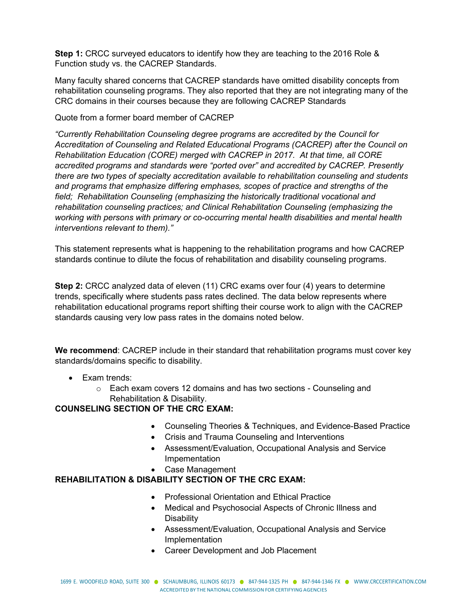**Step 1:** CRCC surveyed educators to identify how they are teaching to the 2016 Role & Function study vs. the CACREP Standards.

Many faculty shared concerns that CACREP standards have omitted disability concepts from rehabilitation counseling programs. They also reported that they are not integrating many of the CRC domains in their courses because they are following CACREP Standards

#### Quote from a former board member of CACREP

*"Currently Rehabilitation Counseling degree programs are accredited by the Council for Accreditation of Counseling and Related Educational Programs (CACREP) after the Council on Rehabilitation Education (CORE) merged with CACREP in 2017. At that time, all CORE accredited programs and standards were "ported over" and accredited by CACREP. Presently there are two types of specialty accreditation available to rehabilitation counseling and students and programs that emphasize differing emphases, scopes of practice and strengths of the field; Rehabilitation Counseling (emphasizing the historically traditional vocational and rehabilitation counseling practices; and Clinical Rehabilitation Counseling (emphasizing the working with persons with primary or co-occurring mental health disabilities and mental health interventions relevant to them)."* 

This statement represents what is happening to the rehabilitation programs and how CACREP standards continue to dilute the focus of rehabilitation and disability counseling programs.

**Step 2:** CRCC analyzed data of eleven (11) CRC exams over four (4) years to determine trends, specifically where students pass rates declined. The data below represents where rehabilitation educational programs report shifting their course work to align with the CACREP standards causing very low pass rates in the domains noted below.

**We recommend**: CACREP include in their standard that rehabilitation programs must cover key standards/domains specific to disability.

- Exam trends:
	- o Each exam covers 12 domains and has two sections Counseling and Rehabilitation & Disability.

#### **COUNSELING SECTION OF THE CRC EXAM:**

- Counseling Theories & Techniques, and Evidence-Based Practice
- Crisis and Trauma Counseling and Interventions
- Assessment/Evaluation, Occupational Analysis and Service Impementation
- Case Management

## **REHABILITATION & DISABILITY SECTION OF THE CRC EXAM:**

- Professional Orientation and Ethical Practice
- Medical and Psychosocial Aspects of Chronic Illness and **Disability**
- Assessment/Evaluation, Occupational Analysis and Service Implementation
- Career Development and Job Placement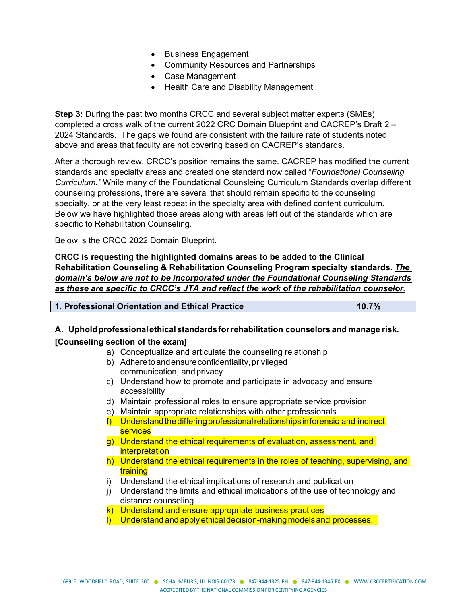- Business Engagement
- Community Resources and Partnerships
- Case Management
- Health Care and Disability Management

**Step 3:** During the past two months CRCC and several subject matter experts (SMEs) completed a cross walk of the current 2022 CRC Domain Blueprint and CACREP's Draft 2 – 2024 Standards. The gaps we found are consistent with the failure rate of students noted above and areas that faculty are not covering based on CACREP's standards.

After a thorough review, CRCC's position remains the same. CACREP has modified the current standards and specialty areas and created one standard now called "*Foundational Counseling Curriculum."* While many of the Foundational Counsleing Curriculum Standards overlap different counseling professions, there are several that should remain specific to the counseling specialty, or at the very least repeat in the specialty area with defined content curriculum. Below we have highlighted those areas along with areas left out of the standards which are specific to Rehabilitation Counseling.

Below is the CRCC 2022 Domain Blueprint.

**CRCC is requesting the highlighted domains areas to be added to the Clinical Rehabilitation Counseling & Rehabilitation Counseling Program specialty standards.** *The domain's below are not to be incorporated under the Foundational Counseling Standards as these are specific to CRCC's JTA and reflect the work of the rehabilitation counselor.*

| 1. Professional Orientation and Ethical Practice | 10.7% |
|--------------------------------------------------|-------|

#### **A. Upholdprofessionalethicalstandardsforrehabilitation counselors and manage risk.**

#### **[Counseling section of the exam]**

- a) Conceptualize and articulate the counseling relationship
- b) Adhere to and ensure confidentiality, privileged communication, andprivacy
- c) Understand how to promote and participate in advocacy and ensure accessibility
- d) Maintain professional roles to ensure appropriate service provision
- e) Maintain appropriate relationships with other professionals
- $f$ ) Understand the differing professional relationships in forensic and indirect services
- g) Understand the ethical requirements of evaluation, assessment, and **interpretation**
- h) Understand the ethical requirements in the roles of teaching, supervising, and training
- i) Understand the ethical implications of research and publication
- j) Understand the limits and ethical implications of the use of technology and distance counseling
- k) Understand and ensure appropriate business practices
- l) Understand and apply ethical decision-making models and processes.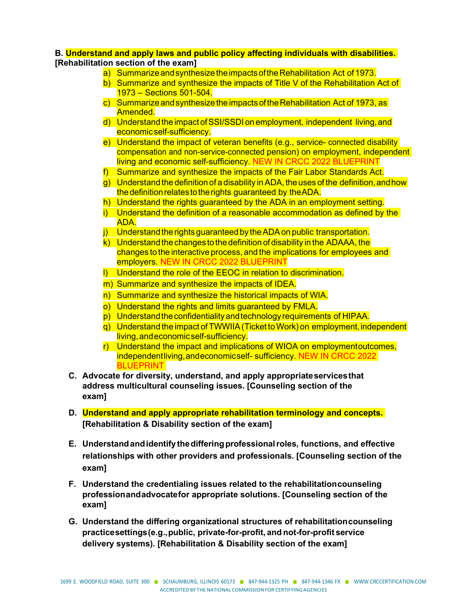#### **B. Understand and apply laws and public policy affecting individuals with disabilities. [Rehabilitation section of the exam]**

- a) Summarize and synthesize the impacts of the Rehabilitation Act of 1973.
- b) Summarize and synthesize the impacts of Title V of the Rehabilitation Act of 1973 – Sections 501-504.
- c) Summarize and synthesize the impacts of the Rehabilitation Act of 1973, as Amended.
- d) Understand the impact of SSI/SSDI on employment, independent living, and economicself-sufficiency.
- e) Understand the impact of veteran benefits (e.g., service- connected disability compensation and non-service-connected pension) on employment, independent living and economic self-sufficiency. NEW IN CRCC 2022 BLUEPRINT
- f) Summarize and synthesize the impacts of the Fair Labor Standards Act.
- $q)$  Understand the definition of a disability in ADA, the uses of the definition, and how the definition relates to the rights guaranteed by the ADA.
- h) Understand the rights guaranteed by the ADA in an employment setting.
- i) Understand the definition of a reasonable accommodation as defined by the ADA.
- $\mathbf{j}$  Understand the rights guaranteed by the ADA on public transportation.
- $k)$  Understand the changes to the definition of disability in the ADAAA, the changes tothe interactive process, and the implications for employees and employers. NEW IN CRCC 2022 BLUEPRINT
- l) Understand the role of the EEOC in relation to discrimination.
- m) Summarize and synthesize the impacts of IDEA.
- n) Summarize and synthesize the historical impacts of WIA.
- o) Understand the rights and limits guaranteed by FMLA.
- p) Understand the confidentiality and technology requirements of HIPAA.
- q) Understand the impact of TWWIIA(Ticket toWork) on employment,independent living, and economic self-sufficiency.
- r) Understand the impact and implications of WIOA on employmentoutcomes, independentliving, and economicself- sufficiency. NEW IN CRCC 2022 **BLUEPRINT**
- **C. Advocate for diversity, understand, and apply appropriateservicesthat address multicultural counseling issues. [Counseling section of the exam]**
- **D. Understand and apply appropriate rehabilitation terminology and concepts. [Rehabilitation & Disability section of the exam]**
- **E. Understandandidentifythedifferingprofessionalroles, functions, and effective relationships with other providers and professionals. [Counseling section of the exam]**
- **F. Understand the credentialing issues related to the rehabilitationcounseling professionandadvocatefor appropriate solutions. [Counseling section of the exam]**
- **G. Understand the differing organizational structures of rehabilitationcounseling practicesettings(e.g.,public, private-for-profit, and not-for-profit service delivery systems). [Rehabilitation & Disability section of the exam]**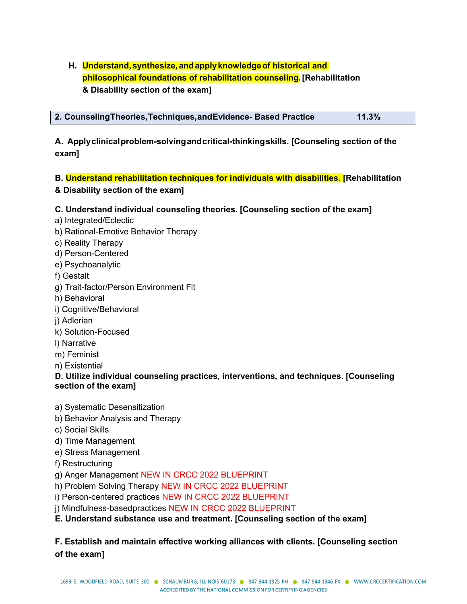# **H. Understand,synthesize, andapplyknowledgeof historical and philosophical foundations of rehabilitation counseling.[Rehabilitation & Disability section of the exam]**

|                                                                   | 11.3% |
|-------------------------------------------------------------------|-------|
| 2. Counseling Theories, Techniques, and Evidence - Based Practice |       |

**A. Applyclinicalproblem-solvingandcritical-thinkingskills. [Counseling section of the exam]**

### **B. Understand rehabilitation techniques for individuals with disabilities. [Rehabilitation & Disability section of the exam]**

### **C. Understand individual counseling theories. [Counseling section of the exam]**

- a) Integrated/Eclectic
- b) Rational-Emotive Behavior Therapy
- c) Reality Therapy
- d) Person-Centered
- e) Psychoanalytic
- f) Gestalt
- g) Trait-factor/Person Environment Fit
- h) Behavioral
- i) Cognitive/Behavioral
- j) Adlerian
- k) Solution-Focused
- l) Narrative
- m) Feminist
- n) Existential

### **D. Utilize individual counseling practices, interventions, and techniques. [Counseling section of the exam]**

- a) Systematic Desensitization
- b) Behavior Analysis and Therapy
- c) Social Skills
- d) Time Management
- e) Stress Management
- f) Restructuring
- g) Anger Management NEW IN CRCC 2022 BLUEPRINT
- h) Problem Solving Therapy NEW IN CRCC 2022 BLUEPRINT
- i) Person-centered practices NEW IN CRCC 2022 BLUEPRINT
- i) Mindfulness-basedpractices NEW IN CRCC 2022 BLUEPRINT

# **E. Understand substance use and treatment. [Counseling section of the exam]**

## **F. Establish and maintain effective working alliances with clients. [Counseling section of the exam]**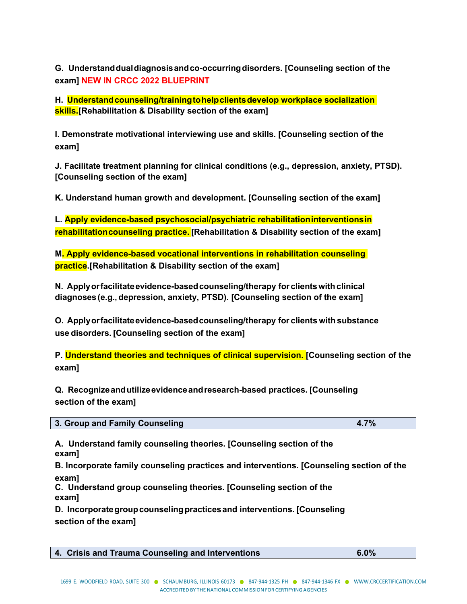**G. Understanddualdiagnosisandco-occurringdisorders. [Counseling section of the exam] NEW IN CRCC 2022 BLUEPRINT**

**H. Understandcounseling/trainingtohelpclientsdevelop workplace socialization skills.[Rehabilitation & Disability section of the exam]**

**I. Demonstrate motivational interviewing use and skills. [Counseling section of the exam]**

**J. Facilitate treatment planning for clinical conditions (e.g., depression, anxiety, PTSD). [Counseling section of the exam]**

**K. Understand human growth and development. [Counseling section of the exam]**

**L. Apply evidence-based psychosocial/psychiatric rehabilitationinterventionsin rehabilitationcounseling practice. [Rehabilitation & Disability section of the exam]**

**M. Apply evidence-based vocational interventions in rehabilitation counseling practice.[Rehabilitation & Disability section of the exam]**

**N. Applyorfacilitateevidence-basedcounseling/therapy for clientswithclinical diagnoses (e.g., depression, anxiety, PTSD). [Counseling section of the exam]**

**O. Applyorfacilitateevidence-basedcounseling/therapy for clients with substance use disorders. [Counseling section of the exam]**

**P. Understand theories and techniques of clinical supervision. [Counseling section of the exam]**

**Q. Recognizeandutilizeevidenceandresearch-based practices. [Counseling section of the exam]**

| 3. Group and Family Counseling | 70/ |
|--------------------------------|-----|
|                                |     |

**A. Understand family counseling theories. [Counseling section of the exam]**

**B. Incorporate family counseling practices and interventions. [Counseling section of the exam]**

**C. Understand group counseling theories. [Counseling section of the exam]**

**D. Incorporategroupcounselingpracticesand interventions. [Counseling section of the exam]**

| 4. Crisis and Trauma Counseling and Interventions | 6.0% |
|---------------------------------------------------|------|
|                                                   |      |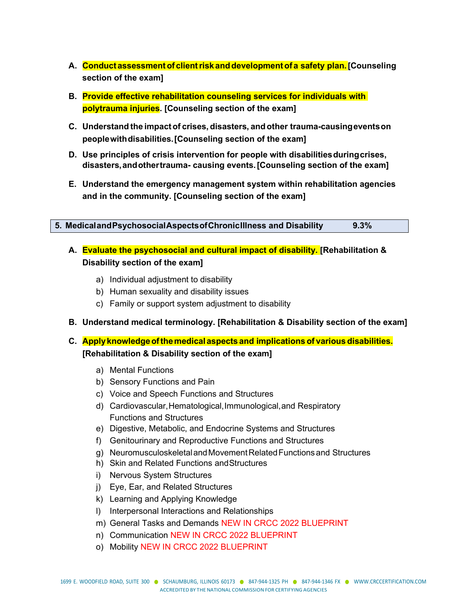- **A. Conduct assessmentof clientrisk anddevelopmentof a safety plan.[Counseling section of the exam]**
- **B. Provide effective rehabilitation counseling services for individuals with polytrauma injuries. [Counseling section of the exam]**
- **C. Understand the impactof crises, disasters, andother trauma-causingeventson peoplewithdisabilities.[Counseling section of the exam]**
- **D. Use principles of crisis intervention for people with disabilitiesduringcrises, disasters,andothertrauma- causing events.[Counseling section of the exam]**
- **E. Understand the emergency management system within rehabilitation agencies and in the community. [Counseling section of the exam]**

|  | 5. Medicaland Psychosocial Aspects of Chronic Illness and Disability | 9.3% |
|--|----------------------------------------------------------------------|------|
|  |                                                                      |      |

- **A. Evaluate the psychosocial and cultural impact of disability. [Rehabilitation & Disability section of the exam]**
	- a) Individual adjustment to disability
	- b) Human sexuality and disability issues
	- c) Family or support system adjustment to disability
- **B. Understand medical terminology. [Rehabilitation & Disability section of the exam]**
- **C. Applyknowledgeofthemedical aspects and implications of various disabilities. [Rehabilitation & Disability section of the exam]**
	- a) Mental Functions
	- b) Sensory Functions and Pain
	- c) Voice and Speech Functions and Structures
	- d) Cardiovascular,Hematological,Immunological,and Respiratory Functions and Structures
	- e) Digestive, Metabolic, and Endocrine Systems and Structures
	- f) Genitourinary and Reproductive Functions and Structures
	- g) NeuromusculoskeletalandMovementRelatedFunctionsand Structures
	- h) Skin and Related Functions andStructures
	- i) Nervous System Structures
	- j) Eye, Ear, and Related Structures
	- k) Learning and Applying Knowledge
	- l) Interpersonal Interactions and Relationships
	- m) General Tasks and Demands NEW IN CRCC 2022 BLUEPRINT
	- n) Communication NEW IN CRCC 2022 BLUEPRINT
	- o) Mobility NEW IN CRCC 2022 BLUEPRINT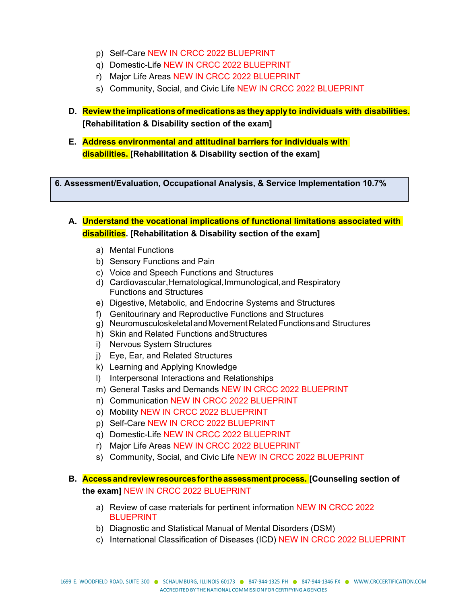- p) Self-Care NEW IN CRCC 2022 BLUEPRINT
- q) Domestic-Life NEW IN CRCC 2022 BLUEPRINT
- r) Major Life Areas NEW IN CRCC 2022 BLUEPRINT
- s) Community, Social, and Civic Life NEW IN CRCC 2022 BLUEPRINT
- **D. Review theimplicationsof medications as theyapply to individuals with disabilities. [Rehabilitation & Disability section of the exam]**
- **E. Address environmental and attitudinal barriers for individuals with disabilities. [Rehabilitation & Disability section of the exam]**

**6. Assessment/Evaluation, Occupational Analysis, & Service Implementation 10.7%**

**A. Understand the vocational implications of functional limitations associated with disabilities. [Rehabilitation & Disability section of the exam]**

- a) Mental Functions
- b) Sensory Functions and Pain
- c) Voice and Speech Functions and Structures
- d) Cardiovascular,Hematological,Immunological,and Respiratory Functions and Structures
- e) Digestive, Metabolic, and Endocrine Systems and Structures
- f) Genitourinary and Reproductive Functions and Structures
- g) NeuromusculoskeletalandMovementRelatedFunctionsand Structures
- h) Skin and Related Functions andStructures
- i) Nervous System Structures
- j) Eye, Ear, and Related Structures
- k) Learning and Applying Knowledge
- l) Interpersonal Interactions and Relationships
- m) General Tasks and Demands NEW IN CRCC 2022 BLUEPRINT
- n) Communication NEW IN CRCC 2022 BLUEPRINT
- o) Mobility NEW IN CRCC 2022 BLUEPRINT
- p) Self-Care NEW IN CRCC 2022 BLUEPRINT
- q) Domestic-Life NEW IN CRCC 2022 BLUEPRINT
- r) Major Life Areas NEW IN CRCC 2022 BLUEPRINT
- s) Community, Social, and Civic Life NEW IN CRCC 2022 BLUEPRINT

## **B. Accessandreviewresourcesforthe assessmentprocess. [Counseling section of the exam]** NEW IN CRCC 2022 BLUEPRINT

- a) Review of case materials for pertinent information NEW IN CRCC 2022 BLUEPRINT
- b) Diagnostic and Statistical Manual of Mental Disorders (DSM)
- c) International Classification of Diseases (ICD) NEW IN CRCC 2022 BLUEPRINT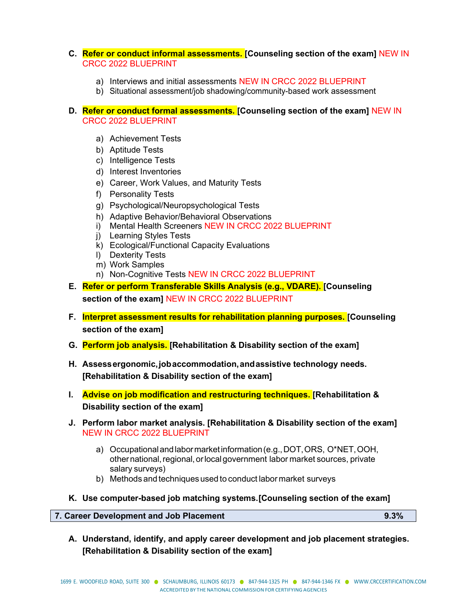#### **C. Refer or conduct informal assessments. [Counseling section of the exam]** NEW IN CRCC 2022 BLUEPRINT

- a) Interviews and initial assessments NEW IN CRCC 2022 BLUEPRINT
- b) Situational assessment/job shadowing/community-based work assessment

#### **D. Refer or conduct formal assessments. [Counseling section of the exam]** NEW IN CRCC 2022 BLUEPRINT

- a) Achievement Tests
- b) Aptitude Tests
- c) Intelligence Tests
- d) Interest Inventories
- e) Career, Work Values, and Maturity Tests
- f) Personality Tests
- g) Psychological/Neuropsychological Tests
- h) Adaptive Behavior/Behavioral Observations
- i) Mental Health Screeners NEW IN CRCC 2022 BLUEPRINT
- j) Learning Styles Tests
- k) Ecological/Functional Capacity Evaluations
- l) Dexterity Tests
- m) Work Samples
- n) Non-Cognitive Tests NEW IN CRCC 2022 BLUEPRINT
- **E. Refer or perform Transferable Skills Analysis (e.g., VDARE). [Counseling section of the exam]** NEW IN CRCC 2022 BLUEPRINT
- **F. Interpret assessment results for rehabilitation planning purposes. [Counseling section of the exam]**
- **G. Perform job analysis. [Rehabilitation & Disability section of the exam]**
- **H. Assessergonomic,jobaccommodation,andassistive technology needs. [Rehabilitation & Disability section of the exam]**
- **I. Advise on job modification and restructuring techniques. [Rehabilitation & Disability section of the exam]**
- **J. Perform labor market analysis. [Rehabilitation & Disability section of the exam]** NEW IN CRCC 2022 BLUEPRINT
	- a) Occupationalandlabormarketinformation(e.g.,DOT,ORS, O\*NET,OOH, other national, regional, or local government labor market sources, private salary surveys)
	- b) Methods and techniques used to conduct labor market surveys
- **K. Use computer-based job matching systems.[Counseling section of the exam]**

**7. Career Development and Job Placement 9.3%**

**A. Understand, identify, and apply career development and job placement strategies. [Rehabilitation & Disability section of the exam]**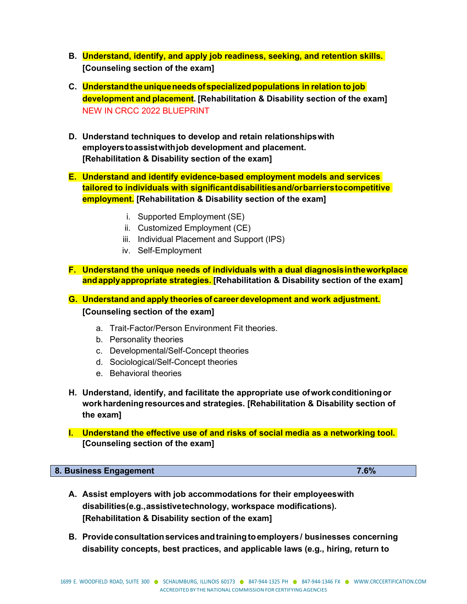- **B. Understand, identify, and apply job readiness, seeking, and retention skills. [Counseling section of the exam]**
- **C. Understandtheuniqueneedsofspecializedpopulations in relation to job development and placement. [Rehabilitation & Disability section of the exam]** NEW IN CRCC 2022 BLUEPRINT
- **D. Understand techniques to develop and retain relationshipswith employerstoassistwithjob development and placement. [Rehabilitation & Disability section of the exam]**
- **E. Understand and identify evidence-based employment models and services tailored to individuals with significantdisabilitiesand/orbarrierstocompetitive employment. [Rehabilitation & Disability section of the exam]**
	- i. Supported Employment (SE)
	- ii. Customized Employment (CE)
	- iii. Individual Placement and Support (IPS)
	- iv. Self-Employment
- **F. Understand the unique needs of individuals with a dual diagnosisintheworkplace andapplyappropriate strategies. [Rehabilitation & Disability section of the exam]**

**G. Understand and apply theories of career development and work adjustment. [Counseling section of the exam]**

- a. Trait-Factor/Person Environment Fit theories.
- b. Personality theories
- c. Developmental/Self-Concept theories
- d. Sociological/Self-Concept theories
- e. Behavioral theories
- **H. Understand, identify, and facilitate the appropriate use ofworkconditioningor workhardeningresourcesand strategies. [Rehabilitation & Disability section of the exam]**
- **I. Understand the effective use of and risks of social media as a networking tool. [Counseling section of the exam]**

#### **8. Business Engagement 7.6%**

- **A. Assist employers with job accommodations for their employeeswith disabilities(e.g.,assistivetechnology, workspace modifications). [Rehabilitation & Disability section of the exam]**
- **B. Provide consultationservicesandtrainingtoemployers/ businesses concerning disability concepts, best practices, and applicable laws (e.g., hiring, return to**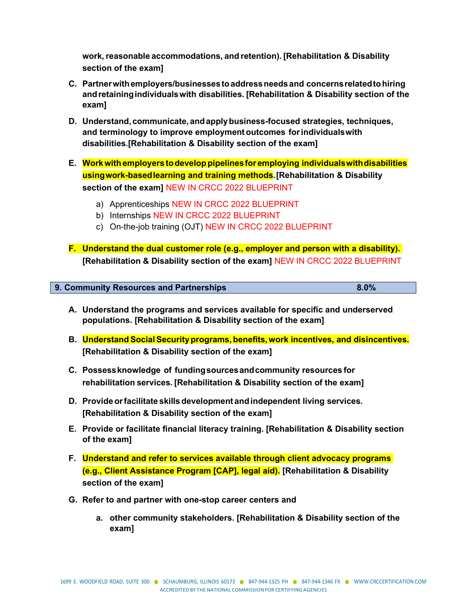**work,reasonable accommodations, and retention). [Rehabilitation & Disability section of the exam]**

- **C. Partnerwithemployers/businessestoaddressneedsand concernsrelatedtohiring andretainingindividualswith disabilities. [Rehabilitation & Disability section of the exam]**
- **D. Understand,communicate,andapplybusiness-focused strategies, techniques, and terminology to improve employment outcomes for individualswith disabilities.[Rehabilitation & Disability section of the exam]**
- **E. Workwithemployers todeveloppipelinesfor employing individualswithdisabilities usingwork-basedlearning and training methods.[Rehabilitation & Disability section of the exam]** NEW IN CRCC 2022 BLUEPRINT
	- a) Apprenticeships NEW IN CRCC 2022 BLUEPRINT
	- b) Internships NEW IN CRCC 2022 BLUEPRINT
	- c) On-the-job training (OJT) NEW IN CRCC 2022 BLUEPRINT
- **F. Understand the dual customer role (e.g., employer and person with a disability). [Rehabilitation & Disability section of the exam]** NEW IN CRCC 2022 BLUEPRINT

| 9. Community Resources and Partnerships | $8.0\%$ |
|-----------------------------------------|---------|

- **A. Understand the programs and services available for specific and underserved populations. [Rehabilitation & Disability section of the exam]**
- **B. UnderstandSocialSecurityprograms, benefits, work incentives, and disincentives. [Rehabilitation & Disability section of the exam]**
- **C. Possessknowledge of fundingsourcesandcommunity resources for rehabilitation services. [Rehabilitation & Disability section of the exam]**
- **D. Provideorfacilitate skillsdevelopment andindependent living services. [Rehabilitation & Disability section of the exam]**
- **E. Provide or facilitate financial literacy training. [Rehabilitation & Disability section of the exam]**
- **F. Understand and refer to services available through client advocacy programs (e.g., Client Assistance Program [CAP], legal aid). [Rehabilitation & Disability section of the exam]**
- **G. Refer to and partner with one-stop career centers and**
	- **a. other community stakeholders. [Rehabilitation & Disability section of the exam]**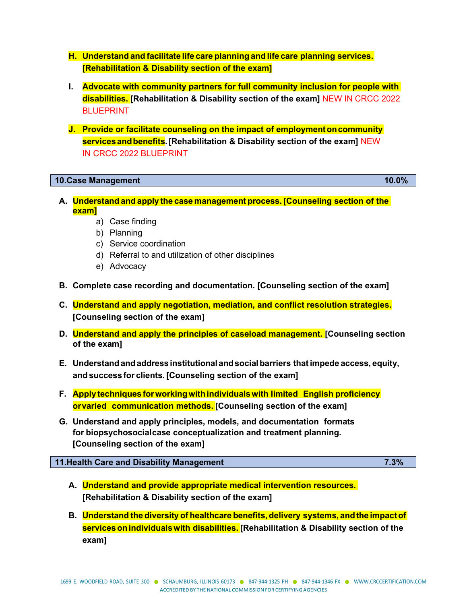- **H. Understand and facilitate life care planning and life care planning services. [Rehabilitation & Disability section of the exam]**
- **I. Advocate with community partners for full community inclusion for people with disabilities. [Rehabilitation & Disability section of the exam]** NEW IN CRCC 2022 BLUEPRINT
- **J. Provide or facilitate counseling on the impact of employmentoncommunity servicesandbenefits.[Rehabilitation & Disability section of the exam]** NEW IN CRCC 2022 BLUEPRINT

#### **10.Case Management 10.0%**

- **A. Understand and apply the case management process. [Counseling section of the exam]**
	- a) Case finding
	- b) Planning
	- c) Service coordination
	- d) Referral to and utilization of other disciplines
	- e) Advocacy
- **B. Complete case recording and documentation. [Counseling section of the exam]**
- **C. Understand and apply negotiation, mediation, and conflict resolution strategies. [Counseling section of the exam]**
- **D. Understand and apply the principles of caseload management. [Counseling section of the exam]**
- **E. Understandandaddress institutional andsocialbarriers thatimpede access, equity, and success for clients. [Counseling section of the exam]**
- **F. Apply techniques forworkingwithindividualswith limited English proficiency orvaried communication methods. [Counseling section of the exam]**
- **G. Understand and apply principles, models, and documentation formats for biopsychosocialcase conceptualization and treatment planning. [Counseling section of the exam]**

#### **11.Health Care and Disability Management 7.3%**

- **A. Understand and provide appropriate medical intervention resources. [Rehabilitation & Disability section of the exam]**
- **B. Understand the diversity of healthcare benefits, delivery systems, andthe impactof servicesonindividualswith disabilities. [Rehabilitation & Disability section of the exam]**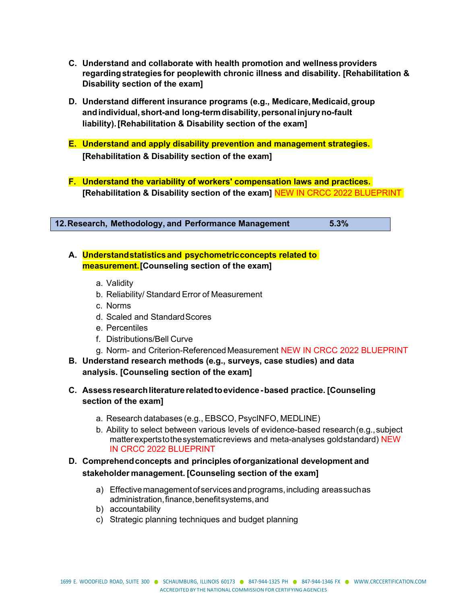- **C. Understand and collaborate with health promotion and wellness providers regarding strategies for peoplewith chronic illness and disability. [Rehabilitation & Disability section of the exam]**
- **D. Understand different insurance programs (e.g., Medicare,Medicaid,group andindividual,short-and long-termdisability,personalinjuryno-fault liability).[Rehabilitation & Disability section of the exam]**
- **E. Understand and apply disability prevention and management strategies. [Rehabilitation & Disability section of the exam]**
- **F. Understand the variability of workers' compensation laws and practices. [Rehabilitation & Disability section of the exam]** NEW IN CRCC 2022 BLUEPRINT

**12.Research, Methodology, and Performance Management 5.3%**

- **A. Understandstatistics and psychometricconcepts related to measurement.[Counseling section of the exam]**
	- a. Validity
	- b. Reliability/ Standard Error of Measurement
	- c. Norms
	- d. Scaled and StandardScores
	- e. Percentiles
	- f. Distributions/Bell Curve
	- g. Norm- and Criterion-Referenced Measurement NEW IN CRCC 2022 BLUEPRINT
- **B. Understand research methods (e.g., surveys, case studies) and data analysis. [Counseling section of the exam]**
- **C. Assessresearchliteraturerelatedtoevidence-based practice. [Counseling section of the exam]**
	- a. Research databases (e.g., EBSCO, PsycINFO, MEDLINE)
	- b. Ability to select between various levels of evidence-based research(e.g.,subject matterexpertstothesystematicreviews and meta-analyses goldstandard) NEW IN CRCC 2022 BLUEPRINT

### **D. Comprehendconcepts and principles oforganizational development and stakeholder management. [Counseling section of the exam]**

- a) Effectivemanagementofservicesandprograms,including areassuchas administration,finance,benefitsystems,and
- b) accountability
- c) Strategic planning techniques and budget planning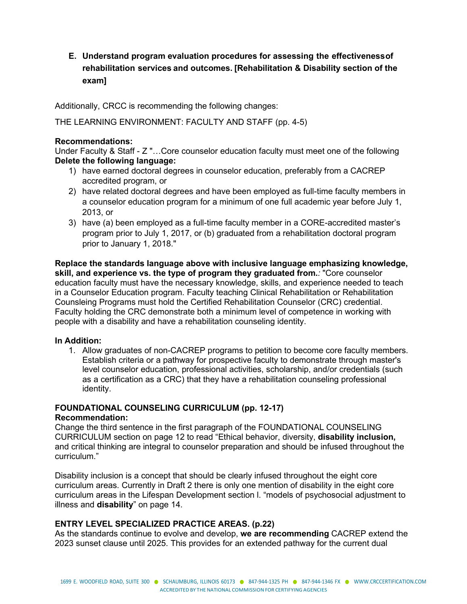# **E. Understand program evaluation procedures for assessing the effectivenessof rehabilitation services and outcomes. [Rehabilitation & Disability section of the exam]**

Additionally, CRCC is recommending the following changes:

THE LEARNING ENVIRONMENT: FACULTY AND STAFF (pp. 4-5)

#### **Recommendations:**

Under Faculty & Staff - Z "…Core counselor education faculty must meet one of the following **Delete the following language:**

- 1) have earned doctoral degrees in counselor education, preferably from a CACREP accredited program, or
- 2) have related doctoral degrees and have been employed as full-time faculty members in a counselor education program for a minimum of one full academic year before July 1, 2013, or
- 3) have (a) been employed as a full-time faculty member in a CORE-accredited master's program prior to July 1, 2017, or (b) graduated from a rehabilitation doctoral program prior to January 1, 2018."

**Replace the standards language above with inclusive language emphasizing knowledge, skill, and experience vs. the type of program they graduated from.***:* "Core counselor education faculty must have the necessary knowledge, skills, and experience needed to teach in a Counselor Education program. Faculty teaching Clinical Rehabilitation or Rehabilitation Counsleing Programs must hold the Certified Rehabilitation Counselor (CRC) credential. Faculty holding the CRC demonstrate both a minimum level of competence in working with people with a disability and have a rehabilitation counseling identity.

#### **In Addition:**

1. Allow graduates of non-CACREP programs to petition to become core faculty members. Establish criteria or a pathway for prospective faculty to demonstrate through master's level counselor education, professional activities, scholarship, and/or credentials (such as a certification as a CRC) that they have a rehabilitation counseling professional identity.

#### **FOUNDATIONAL COUNSELING CURRICULUM (pp. 12-17) Recommendation:**

Change the third sentence in the first paragraph of the FOUNDATIONAL COUNSELING CURRICULUM section on page 12 to read "Ethical behavior, diversity, **disability inclusion,** and critical thinking are integral to counselor preparation and should be infused throughout the curriculum."

Disability inclusion is a concept that should be clearly infused throughout the eight core curriculum areas. Currently in Draft 2 there is only one mention of disability in the eight core curriculum areas in the Lifespan Development section l. "models of psychosocial adjustment to illness and **disability**" on page 14.

#### **ENTRY LEVEL SPECIALIZED PRACTICE AREAS. (p.22)**

As the standards continue to evolve and develop, **we are recommending** CACREP extend the 2023 sunset clause until 2025. This provides for an extended pathway for the current dual